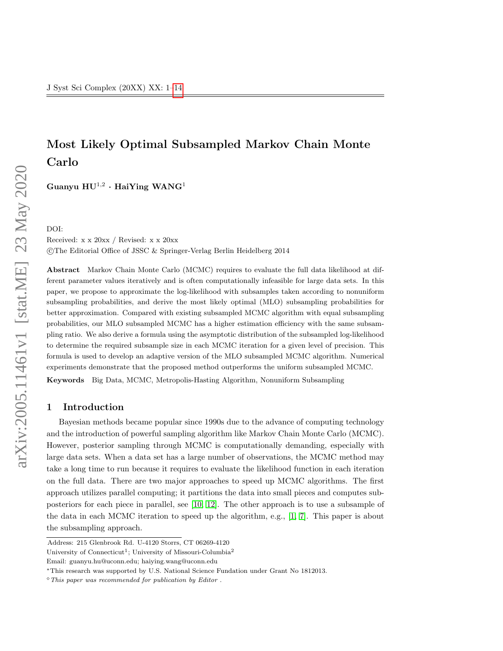# Most Likely Optimal Subsampled Markov Chain Monte Carlo

Guanyu  $\mathrm{HU}^{1,2}\cdot\mathrm{HaiYing}$   $\mathrm{WANG}^{1}$ 

DOI: Received: x x 20xx / Revised: x x 20xx c The Editorial Office of JSSC & Springer-Verlag Berlin Heidelberg 2014

Abstract Markov Chain Monte Carlo (MCMC) requires to evaluate the full data likelihood at different parameter values iteratively and is often computationally infeasible for large data sets. In this paper, we propose to approximate the log-likelihood with subsamples taken according to nonuniform subsampling probabilities, and derive the most likely optimal (MLO) subsampling probabilities for better approximation. Compared with existing subsampled MCMC algorithm with equal subsampling probabilities, our MLO subsampled MCMC has a higher estimation efficiency with the same subsampling ratio. We also derive a formula using the asymptotic distribution of the subsampled log-likelihood to determine the required subsample size in each MCMC iteration for a given level of precision. This formula is used to develop an adaptive version of the MLO subsampled MCMC algorithm. Numerical experiments demonstrate that the proposed method outperforms the uniform subsampled MCMC.

Keywords Big Data, MCMC, Metropolis-Hasting Algorithm, Nonuniform Subsampling

## 1 Introduction

Bayesian methods became popular since 1990s due to the advance of computing technology and the introduction of powerful sampling algorithm like Markov Chain Monte Carlo (MCMC). However, posterior sampling through MCMC is computationally demanding, especially with large data sets. When a data set has a large number of observations, the MCMC method may take a long time to run because it requires to evaluate the likelihood function in each iteration on the full data. There are two major approaches to speed up MCMC algorithms. The first approach utilizes parallel computing; it partitions the data into small pieces and computes subposteriors for each piece in parallel, see [\[10,](#page-13-1) [12\]](#page-13-2). The other approach is to use a subsample of the data in each MCMC iteration to speed up the algorithm, e.g., [\[1,](#page-13-3) [7\]](#page-13-4). This paper is about the subsampling approach.

Address: 215 Glenbrook Rd. U-4120 Storrs, CT 06269-4120

University of Connecticut<sup>1</sup>; University of Missouri-Columbia<sup>2</sup>

Email: guanyu.hu@uconn.edu; haiying.wang@uconn.edu

<sup>∗</sup>This research was supported by U.S. National Science Fundation under Grant No 1812013.

 $\degree$  This paper was recommended for publication by Editor.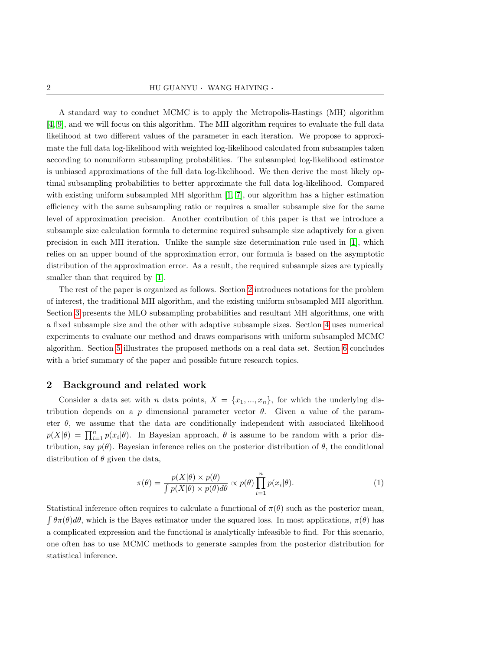A standard way to conduct MCMC is to apply the Metropolis-Hastings (MH) algorithm [\[4,](#page-13-5) [9\]](#page-13-6), and we will focus on this algorithm. The MH algorithm requires to evaluate the full data likelihood at two different values of the parameter in each iteration. We propose to approximate the full data log-likelihood with weighted log-likelihood calculated from subsamples taken according to nonuniform subsampling probabilities. The subsampled log-likelihood estimator is unbiased approximations of the full data log-likelihood. We then derive the most likely optimal subsampling probabilities to better approximate the full data log-likelihood. Compared with existing uniform subsampled MH algorithm  $[1, 7]$  $[1, 7]$ , our algorithm has a higher estimation efficiency with the same subsampling ratio or requires a smaller subsample size for the same level of approximation precision. Another contribution of this paper is that we introduce a subsample size calculation formula to determine required subsample size adaptively for a given precision in each MH iteration. Unlike the sample size determination rule used in [\[1\]](#page-13-3), which relies on an upper bound of the approximation error, our formula is based on the asymptotic distribution of the approximation error. As a result, the required subsample sizes are typically smaller than that required by [\[1\]](#page-13-3).

The rest of the paper is organized as follows. Section [2](#page-1-0) introduces notations for the problem of interest, the traditional MH algorithm, and the existing uniform subsampled MH algorithm. Section [3](#page-4-0) presents the MLO subsampling probabilities and resultant MH algorithms, one with a fixed subsample size and the other with adaptive subsample sizes. Section [4](#page-7-0) uses numerical experiments to evaluate our method and draws comparisons with uniform subsampled MCMC algorithm. Section [5](#page-11-0) illustrates the proposed methods on a real data set. Section [6](#page-12-0) concludes with a brief summary of the paper and possible future research topics.

#### <span id="page-1-0"></span>2 Background and related work

Consider a data set with n data points,  $X = \{x_1, ..., x_n\}$ , for which the underlying distribution depends on a p dimensional parameter vector  $\theta$ . Given a value of the parameter  $\theta$ , we assume that the data are conditionally independent with associated likelihood  $p(X|\theta) = \prod_{i=1}^{n} p(x_i|\theta)$ . In Bayesian approach,  $\theta$  is assume to be random with a prior distribution, say  $p(\theta)$ . Bayesian inference relies on the posterior distribution of  $\theta$ , the conditional distribution of  $\theta$  given the data,

<span id="page-1-1"></span>
$$
\pi(\theta) = \frac{p(X|\theta) \times p(\theta)}{\int p(X|\theta) \times p(\theta) d\theta} \propto p(\theta) \prod_{i=1}^{n} p(x_i|\theta). \tag{1}
$$

Statistical inference often requires to calculate a functional of  $\pi(\theta)$  such as the posterior mean,  $\int \theta \pi(\theta) d\theta$ , which is the Bayes estimator under the squared loss. In most applications,  $\pi(\theta)$  has a complicated expression and the functional is analytically infeasible to find. For this scenario, one often has to use MCMC methods to generate samples from the posterior distribution for statistical inference.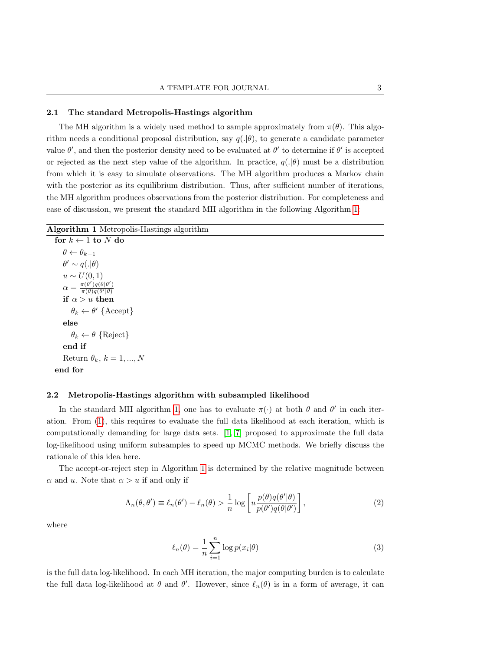#### 2.1 The standard Metropolis-Hastings algorithm

The MH algorithm is a widely used method to sample approximately from  $\pi(\theta)$ . This algorithm needs a conditional proposal distribution, say  $q(.|\theta)$ , to generate a candidate parameter value  $\theta'$ , and then the posterior density need to be evaluated at  $\theta'$  to determine if  $\theta'$  is accepted or rejected as the next step value of the algorithm. In practice,  $q(|\theta)$  must be a distribution from which it is easy to simulate observations. The MH algorithm produces a Markov chain with the posterior as its equilibrium distribution. Thus, after sufficient number of iterations, the MH algorithm produces observations from the posterior distribution. For completeness and ease of discussion, we present the standard MH algorithm in the following Algorithm [1:](#page-2-0)

<span id="page-2-0"></span>

|  |  | Algorithm 1 Metropolis-Hastings algorithm |  |
|--|--|-------------------------------------------|--|
|--|--|-------------------------------------------|--|

for  $k \leftarrow 1$  to N do  $\theta \leftarrow \theta_{k-1}$  $\theta' \sim q(.|\theta)$  $u \sim U(0,1)$  $\alpha = \frac{\pi(\theta')q(\theta|\theta')}{\pi(\theta)q(\theta'|\theta)}$  $\pi(\theta)q(\theta'|\theta)$ if  $\alpha > u$  then  $\theta_k \leftarrow \theta'$  {Accept} else  $\theta_k \leftarrow \theta$  {Reject} end if Return  $\theta_k$ ,  $k = 1, ..., N$ end for

## 2.2 Metropolis-Hastings algorithm with subsampled likelihood

In the standard MH algorithm [1,](#page-2-0) one has to evaluate  $\pi(\cdot)$  at both  $\theta$  and  $\theta'$  in each iteration. From [\(1\)](#page-1-1), this requires to evaluate the full data likelihood at each iteration, which is computationally demanding for large data sets. [\[1,](#page-13-3) [7\]](#page-13-4) proposed to approximate the full data log-likelihood using uniform subsamples to speed up MCMC methods. We briefly discuss the rationale of this idea here.

The accept-or-reject step in Algorithm [1](#page-2-0) is determined by the relative magnitude between  $\alpha$  and u. Note that  $\alpha > u$  if and only if

$$
\Lambda_n(\theta, \theta') \equiv \ell_n(\theta') - \ell_n(\theta) > \frac{1}{n} \log \left[ u \frac{p(\theta)q(\theta'|\theta)}{p(\theta')q(\theta|\theta')} \right],
$$
\n(2)

where

<span id="page-2-1"></span>
$$
\ell_n(\theta) = \frac{1}{n} \sum_{i=1}^n \log p(x_i|\theta)
$$
\n(3)

is the full data log-likelihood. In each MH iteration, the major computing burden is to calculate the full data log-likelihood at  $\theta$  and  $\theta'$ . However, since  $\ell_n(\theta)$  is in a form of average, it can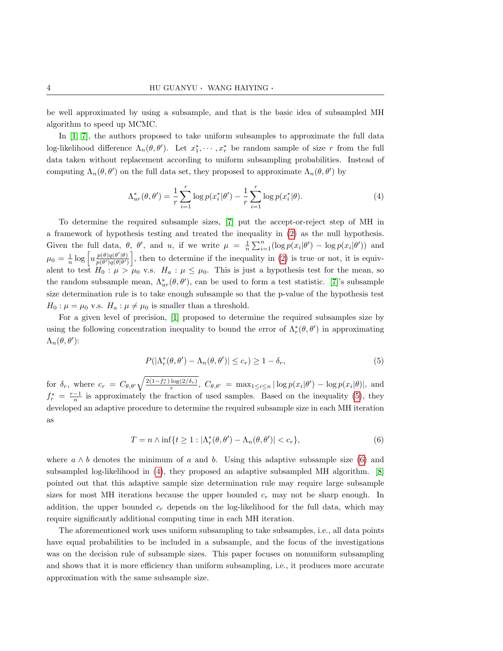be well approximated by using a subsample, and that is the basic idea of subsampled MH algorithm to speed up MCMC.

In [\[1,](#page-13-3) [7\]](#page-13-4), the authors proposed to take uniform subsamples to approximate the full data log-likelihood difference  $\Lambda_n(\theta, \theta')$ . Let  $x_1^*, \dots, x_r^*$  be random sample of size r from the full data taken without replacement according to uniform subsampling probabilities. Instead of computing  $\Lambda_n(\theta, \theta')$  on the full data set, they proposed to approximate  $\Lambda_n(\theta, \theta')$  by

<span id="page-3-2"></span>
$$
\Lambda_{ur}^*(\theta, \theta') = \frac{1}{r} \sum_{i=1}^r \log p(x_i^* | \theta') - \frac{1}{r} \sum_{i=1}^r \log p(x_i^* | \theta). \tag{4}
$$

To determine the required subsample sizes, [\[7\]](#page-13-4) put the accept-or-reject step of MH in a framework of hypothesis testing and treated the inequality in [\(2\)](#page-2-1) as the null hypothesis. Given the full data,  $\theta$ ,  $\theta'$ , and u, if we write  $\mu = \frac{1}{n} \sum_{i=1}^{n} (\log p(x_i | \theta') - \log p(x_i | \theta'))$  and  $\mu_0 = \frac{1}{n} \log \left[ u \frac{p(\theta) q(\theta'|\theta)}{p(\theta') q(\theta|\theta')} \right]$  $\frac{p(\theta)q(\theta')(\theta)}{p(\theta')q(\theta|\theta')}$ , then to determine if the inequality in [\(2\)](#page-2-1) is true or not, it is equivalent to test  $H_0 : \mu > \mu_0$  v.s.  $H_a : \mu \leq \mu_0$ . This is just a hypothesis test for the mean, so the random subsample mean,  $\Lambda_{ur}^*(\theta, \theta')$ , can be used to form a test statistic. [\[7\]](#page-13-4)'s subsample size determination rule is to take enough subsample so that the p-value of the hypothesis test  $H_0: \mu = \mu_0$  v.s.  $H_a: \mu \neq \mu_0$  is smaller than a threshold.

For a given level of precision, [\[1\]](#page-13-3) proposed to determine the required subsamples size by using the following concentration inequality to bound the error of  $\Lambda_r^*(\theta, \theta')$  in approximating  $\Lambda_n(\theta, \theta')$ :

<span id="page-3-1"></span><span id="page-3-0"></span>
$$
P(|\Lambda_r^*(\theta,\theta') - \Lambda_n(\theta,\theta')| \le c_r) \ge 1 - \delta_r,
$$
\n<sup>(5)</sup>

for  $\delta_r$ , where  $c_r = C_{\theta, \theta'} \sqrt{\frac{2(1-f_r^*) \log(2/\delta_r)}{r}}, C_{\theta, \theta'} = \max_{1 \leq i \leq n} |\log p(x_i|\theta') - \log p(x_i|\theta)|$ , and  $f_r^* = \frac{r-1}{n}$  is approximately the fraction of used samples. Based on the inequality [\(5\)](#page-3-0), they developed an adaptive procedure to determine the required subsample size in each MH iteration as

$$
T = n \wedge \inf\{t \ge 1 : |\Lambda_r^*(\theta, \theta') - \Lambda_n(\theta, \theta')| < c_r\},\tag{6}
$$

where  $a \wedge b$  denotes the minimum of a and b. Using this adaptive subsample size [\(6\)](#page-3-1) and subsampled log-likelihood in [\(4\)](#page-3-2), they proposed an adaptive subsampled MH algorithm. [\[8\]](#page-13-7) pointed out that this adaptive sample size determination rule may require large subsample sizes for most MH iterations because the upper bounded  $c_r$  may not be sharp enough. In addition, the upper bounded  $c_r$  depends on the log-likelihood for the full data, which may require significantly additional computing time in each MH iteration.

The aforementioned work uses uniform subsampling to take subsamples, i.e., all data points have equal probabilities to be included in a subsample, and the focus of the investigations was on the decision rule of subsample sizes. This paper focuses on nonuniform subsampling and shows that it is more efficiency than uniform subsampling, i.e., it produces more accurate approximation with the same subsample size.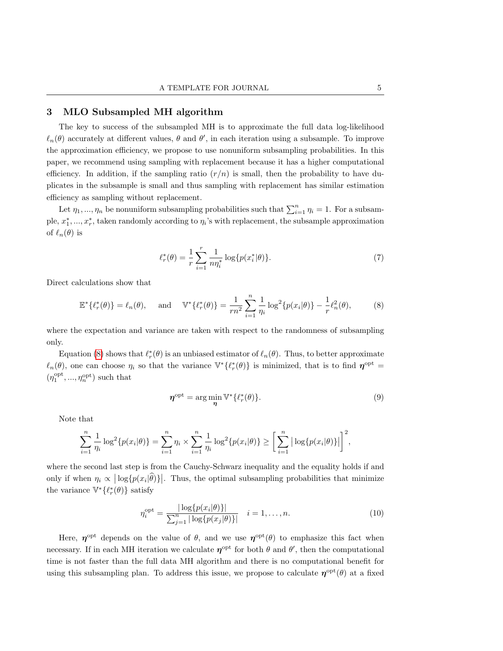# <span id="page-4-0"></span>3 MLO Subsampled MH algorithm

The key to success of the subsampled MH is to approximate the full data log-likelihood  $\ell_n(\theta)$  accurately at different values,  $\theta$  and  $\theta'$ , in each iteration using a subsample. To improve the approximation efficiency, we propose to use nonuniform subsampling probabilities. In this paper, we recommend using sampling with replacement because it has a higher computational efficiency. In addition, if the sampling ratio  $(r/n)$  is small, then the probability to have duplicates in the subsample is small and thus sampling with replacement has similar estimation efficiency as sampling without replacement.

Let  $\eta_1, ..., \eta_n$  be nonuniform subsampling probabilities such that  $\sum_{i=1}^n \eta_i = 1$ . For a subsample,  $x_1^*,...,x_r^*$ , taken randomly according to  $\eta_i$ 's with replacement, the subsample approximation of  $\ell_n(\theta)$  is

<span id="page-4-1"></span>
$$
\ell_r^*(\theta) = \frac{1}{r} \sum_{i=1}^r \frac{1}{n\eta_i^*} \log \{p(x_i^*|\theta)\}.
$$
 (7)

Direct calculations show that

$$
\mathbb{E}^*\{\ell_r^*(\theta)\} = \ell_n(\theta), \quad \text{and} \quad \mathbb{V}^*\{\ell_r^*(\theta)\} = \frac{1}{rn^2} \sum_{i=1}^n \frac{1}{\eta_i} \log^2\{p(x_i|\theta)\} - \frac{1}{r} \ell_n^2(\theta), \tag{8}
$$

where the expectation and variance are taken with respect to the randomness of subsampling only.

Equation [\(8\)](#page-4-1) shows that  $\ell_r^*(\theta)$  is an unbiased estimator of  $\ell_n(\theta)$ . Thus, to better approximate  $\ell_n(\theta)$ , one can choose  $\eta_i$  so that the variance  $\mathbb{V}^*\{\ell_r^*(\theta)\}\$ is minimized, that is to find  $\eta^{\text{opt}} =$  $(\eta_{1}^{\mathrm{opt}},...,\eta_{n}^{\mathrm{opt}})$  such that

$$
\boldsymbol{\eta}^{\mathrm{opt}} = \arg\min_{\boldsymbol{\eta}} \mathbb{V}^* \{ \ell_r^*(\theta) \}. \tag{9}
$$

Note that

$$
\sum_{i=1}^{n} \frac{1}{\eta_i} \log^2\{p(x_i|\theta)\} = \sum_{i=1}^{n} \eta_i \times \sum_{i=1}^{n} \frac{1}{\eta_i} \log^2\{p(x_i|\theta)\} \ge \left[\sum_{i=1}^{n} |\log\{p(x_i|\theta)\}|\right]^2,
$$

where the second last step is from the Cauchy-Schwarz inequality and the equality holds if and only if when  $\eta_i \propto |\log\{p(x_i|\hat{\theta})\}|$ . Thus, the optimal subsampling probabilities that minimize the variance  $\mathbb{V}^*{\{\ell^*_r(\theta)\}}$  satisfy

$$
\eta_i^{\text{opt}} = \frac{|\log\{p(x_i|\theta)\}|}{\sum_{j=1}^n |\log\{p(x_j|\theta)\}|} \quad i = 1, \dots, n. \tag{10}
$$

Here,  $\eta^{\text{opt}}$  depends on the value of  $\theta$ , and we use  $\eta^{\text{opt}}(\theta)$  to emphasize this fact when necessary. If in each MH iteration we calculate  $\eta^{\text{opt}}$  for both  $\theta$  and  $\theta'$ , then the computational time is not faster than the full data MH algorithm and there is no computational benefit for using this subsampling plan. To address this issue, we propose to calculate  $\eta^{\text{opt}}(\theta)$  at a fixed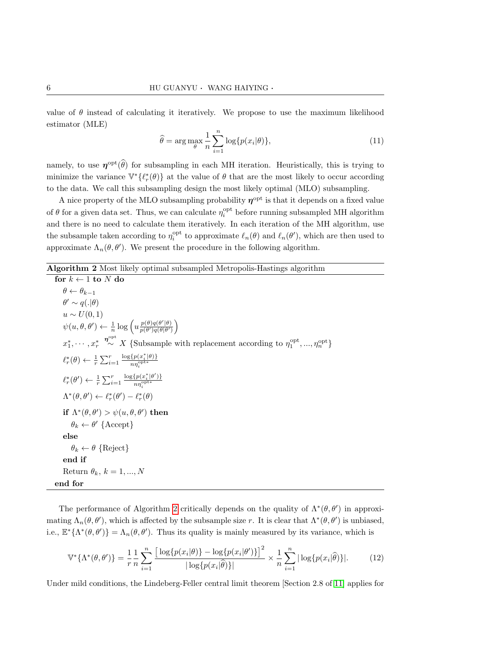value of  $\theta$  instead of calculating it iteratively. We propose to use the maximum likelihood estimator (MLE)

$$
\widehat{\theta} = \arg \max_{\theta} \frac{1}{n} \sum_{i=1}^{n} \log \{p(x_i | \theta)\},\tag{11}
$$

namely, to use  $\eta^{\text{opt}}(\widehat{\theta})$  for subsampling in each MH iteration. Heuristically, this is trying to minimize the variance  $\mathbb{V}^*\{\ell_r^*(\theta)\}\$  at the value of  $\theta$  that are the most likely to occur according to the data. We call this subsampling design the most likely optimal (MLO) subsampling.

A nice property of the MLO subsampling probability  $\eta^{\text{opt}}$  is that it depends on a fixed value of  $\theta$  for a given data set. Thus, we can calculate  $\eta_i^{\text{opt}}$  before running subsampled MH algorithm and there is no need to calculate them iteratively. In each iteration of the MH algorithm, use the subsample taken according to  $\eta_i^{\text{opt}}$  to approximate  $\ell_n(\theta)$  and  $\ell_n(\theta')$ , which are then used to approximate  $\Lambda_n(\theta, \theta')$ . We present the procedure in the following algorithm.

<span id="page-5-0"></span>Algorithm 2 Most likely optimal subsampled Metropolis-Hastings algorithm

for  $k \leftarrow 1$  to N do  $\theta \leftarrow \theta_{k-1}$  $\theta' \sim q(.|\theta)$  $u \sim U(0,1)$  $\psi(u, \theta, \theta') \leftarrow \frac{1}{n} \log \left( u \frac{p(\theta)q(\theta'|\theta)}{p(\theta')q(\theta|\theta')}\right)$  $\frac{p(\theta)q(\theta'|\theta)}{p(\theta')q(\theta|\theta')}\bigg)$  $x_1^*, \cdots, x_r^*$  $\stackrel{\boldsymbol{\eta}^{\text{opt}}}{\sim} X$  {Subsample with replacement according to  $\eta_1^{\text{opt}},...,\eta_n^{\text{opt}}$ }  $\ell_r^*(\theta) \leftarrow \frac{1}{r} \sum_{i=1}^r$  $\log\{p(x_i^*|\theta)\}\)$  $n\eta_i^{\textrm{opt}*}$  $\ell_r^*(\theta') \leftarrow \frac{1}{r} \sum_{i=1}^r$  $\log\{p(x_i^*|\theta')\}$  $n\eta_i^{\textrm{opt}*}$  $\Lambda^*(\theta, \theta') \leftarrow \ell_r^*(\theta') - \ell_r^*(\theta)$ if  $\Lambda^*(\theta, \theta') > \psi(u, \theta, \theta')$  then  $\theta_k \leftarrow \theta'$  {Accept} else  $\theta_k \leftarrow \theta$  {Reject} end if Return  $\theta_k$ ,  $k = 1, ..., N$ end for

The performance of Algorithm [2](#page-5-0) critically depends on the quality of  $\Lambda^*(\theta, \theta')$  in approximating  $\Lambda_n(\theta, \theta')$ , which is affected by the subsample size r. It is clear that  $\Lambda^*(\theta, \theta')$  is unbiased, i.e.,  $\mathbb{E}^*\{\Lambda^*(\theta,\theta')\} = \Lambda_n(\theta,\theta')$ . Thus its quality is mainly measured by its variance, which is

$$
\mathbb{V}^*\{\Lambda^*(\theta,\theta')\} = \frac{1}{r} \frac{1}{n} \sum_{i=1}^n \frac{\left[\log\{p(x_i|\theta)\} - \log\{p(x_i|\theta')\}\right]^2}{|\log\{p(x_i|\hat{\theta})\}|} \times \frac{1}{n} \sum_{i=1}^n |\log\{p(x_i|\hat{\theta})\}|. \tag{12}
$$

Under mild conditions, the Lindeberg-Feller central limit theorem [Section 2.8 of [11\]](#page-13-8) applies for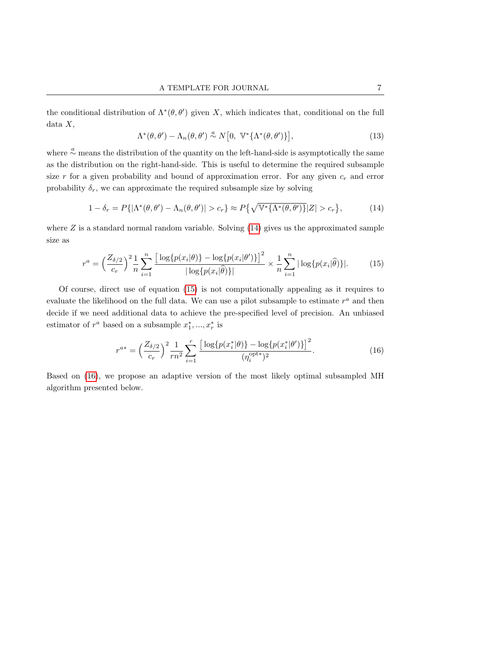the conditional distribution of  $\Lambda^*(\theta, \theta')$  given X, which indicates that, conditional on the full  $data X,$ 

<span id="page-6-1"></span><span id="page-6-0"></span>
$$
\Lambda^*(\theta,\theta') - \Lambda_n(\theta,\theta') \stackrel{a}{\sim} N[0, \ \mathbb{V}^*\{\Lambda^*(\theta,\theta')\}], \tag{13}
$$

where  $\frac{a}{c}$  means the distribution of the quantity on the left-hand-side is asymptotically the same as the distribution on the right-hand-side. This is useful to determine the required subsample size  $r$  for a given probability and bound of approximation error. For any given  $c_r$  and error probability  $\delta_r$ , we can approximate the required subsample size by solving

$$
1 - \delta_r = P\{|\Lambda^*(\theta, \theta') - \Lambda_n(\theta, \theta')| > c_r\} \approx P\{\sqrt{\mathbb{V}^*\{\Lambda^*(\theta, \theta')\}}|Z| > c_r\},\tag{14}
$$

where  $Z$  is a standard normal random variable. Solving  $(14)$  gives us the approximated sample size as

$$
r^{a} = \left(\frac{Z_{\delta/2}}{c_{r}}\right)^{2} \frac{1}{n} \sum_{i=1}^{n} \frac{\left[\log\{p(x_{i}|\theta)\} - \log\{p(x_{i}|\theta')\}\right]^{2}}{|\log\{p(x_{i}|\hat{\theta})\}|} \times \frac{1}{n} \sum_{i=1}^{n} |\log\{p(x_{i}|\hat{\theta})\}|. \tag{15}
$$

Of course, direct use of equation [\(15\)](#page-6-1) is not computationally appealing as it requires to evaluate the likelihood on the full data. We can use a pilot subsample to estimate  $r^a$  and then decide if we need additional data to achieve the pre-specified level of precision. An unbiased estimator of  $r^a$  based on a subsample  $x_1^*,...,x_r^*$  is

<span id="page-6-2"></span>
$$
r^{a*} = \left(\frac{Z_{\delta/2}}{c_r}\right)^2 \frac{1}{rn^2} \sum_{i=1}^r \frac{\left[\log\{p(x_i^*|\theta)\} - \log\{p(x_i^*|\theta')\}\right]^2}{(\eta_i^{\text{opt*}})^2}.
$$
 (16)

Based on [\(16\)](#page-6-2), we propose an adaptive version of the most likely optimal subsampled MH algorithm presented below.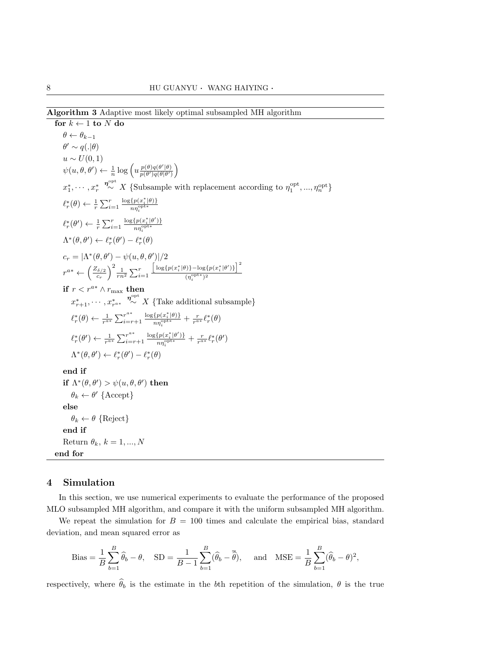<span id="page-7-1"></span>Algorithm 3 Adaptive most likely optimal subsampled MH algorithm

for  $k \leftarrow 1$  to N do  $\theta \leftarrow \theta_{k-1}$  $\theta' \sim q(.|\theta)$  $u \sim U(0, 1)$  $\psi(u, \theta, \theta') \leftarrow \frac{1}{n} \log \left( u \frac{p(\theta)q(\theta'|\theta)}{p(\theta')q(\theta|\theta')}\right)$  $\frac{p(\theta)q(\theta'|\theta)}{p(\theta')q(\theta|\theta')}\bigg)$  $x_1^*, \cdots, x_r^*$  $\stackrel{\boldsymbol{\eta}^{\text{opt}}}{\sim} X$  {Subsample with replacement according to  $\eta_1^{\text{opt}},...,\eta_n^{\text{opt}}$ }  $\ell_r^*(\theta) \leftarrow \frac{1}{r} \sum_{i=1}^r$  $\log\{p(x_i^*|\theta)\}\$  $n\eta_i^{\textrm{opt}*}$  $\ell_r^*(\theta') \leftarrow \frac{1}{r} \sum_{i=1}^r$  $\log\{p(x_i^*|\theta')\}$  $n\eta_i^{\textrm{opt}*}$  $\Lambda^*(\theta, \theta') \leftarrow \ell_r^*(\theta') - \ell_r^*(\theta)$  $c_r = |\Lambda^*(\theta, \theta') - \psi(u, \theta, \theta')|/2$  $r^{a*} \leftarrow \left(\frac{Z_{\delta/2}}{c}\right)$  $\left(\frac{\delta}{2}r\right)^2 \frac{1}{rn^2} \sum_{i=1}^r$  $\left[\log\{p(x_i^*|\theta)\}-\log\{p(x_i^*|\theta')\}\right]^2$  $(\eta_i^{\mathrm{opt*}})^2$ if  $r < r^{a*} \wedge r_{\text{max}}$  then  $x^*_{r+1}, \cdots, x^*_{r^{a*}} \stackrel{\eta^{\text{opt}}_{\sim}}{\sim} X$  {Take additional subsample}  $\ell_r^*(\theta) \leftarrow \frac{1}{r^{a*}} \sum_{i=r}^{r^{a*}}$  $i=r+1$  $\log\{p(x_i^*|\theta)\}\)$  $\frac{\{p(x_i^*|\theta)\}}{n\eta_i^{\textrm{opt}*}}+\frac{r}{r^{a*}}\ell_r^*(\theta)$  $\ell_r^*(\theta') \leftarrow \frac{1}{r^{a*}} \sum_{i=r}^{r^{a*}}$  $i=r+1$  $\log\{p(x_i^*|\theta')\}$  $\frac{\{p(x^*_i|\theta')\}}{np_i^{\textrm{opt}*}} + \frac{r}{r^{a*}}\ell^*_r(\theta')$  $\Lambda^*(\theta, \theta') \leftarrow \ell_r^*(\theta') - \ell_r^*(\theta)$ end if if  $\Lambda^*(\theta, \theta') > \psi(u, \theta, \theta')$  then  $\theta_k \leftarrow \theta'$  {Accept} else  $\theta_k \leftarrow \theta$  {Reject} end if Return  $\theta_k$ ,  $k = 1, ..., N$ end for

## <span id="page-7-0"></span>4 Simulation

In this section, we use numerical experiments to evaluate the performance of the proposed MLO subsampled MH algorithm, and compare it with the uniform subsampled MH algorithm.

We repeat the simulation for  $B = 100$  times and calculate the empirical bias, standard deviation, and mean squared error as

Bias = 
$$
\frac{1}{B} \sum_{b=1}^{B} \hat{\theta}_b - \theta
$$
, SD =  $\frac{1}{B-1} \sum_{b=1}^{B} (\hat{\theta}_b - \overline{\hat{\theta}})$ , and MSE =  $\frac{1}{B} \sum_{b=1}^{B} (\hat{\theta}_b - \theta)^2$ ,

respectively, where  $\hat{\theta}_b$  is the estimate in the bth repetition of the simulation,  $\theta$  is the true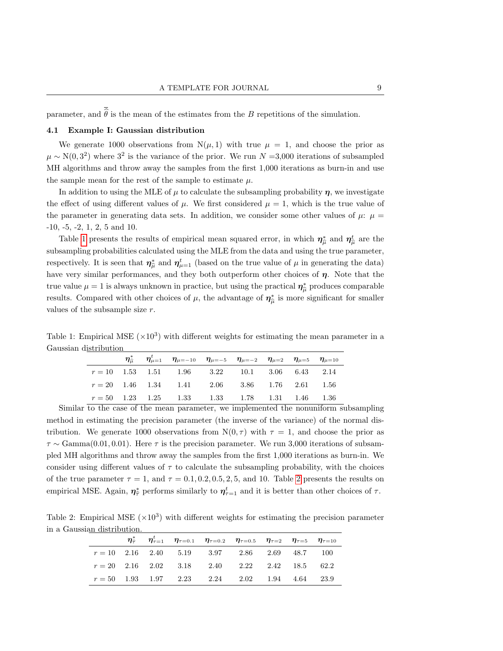parameter, and  $\hat{\theta}$  is the mean of the estimates from the B repetitions of the simulation.

#### 4.1 Example I: Gaussian distribution

We generate 1000 observations from  $N(\mu, 1)$  with true  $\mu = 1$ , and choose the prior as  $\mu \sim N(0, 3^2)$  where  $3^2$  is the variance of the prior. We run  $N = 3,000$  iterations of subsampled MH algorithms and throw away the samples from the first 1,000 iterations as burn-in and use the sample mean for the rest of the sample to estimate  $\mu$ .

In addition to using the MLE of  $\mu$  to calculate the subsampling probability  $\eta$ , we investigate the effect of using different values of  $\mu$ . We first considered  $\mu = 1$ , which is the true value of the parameter in generating data sets. In addition, we consider some other values of  $\mu$ :  $\mu$  = -10, -5, -2, 1, 2, 5 and 10.

Table [1](#page-8-0) presents the results of empirical mean squared error, in which  $\eta_{\hat{\mu}}^*$  and  $\eta_{\hat{\mu}}^t$  are the subsampling probabilities calculated using the MLE from the data and using the true parameter, respectively. It is seen that  $\eta_{\hat{\mu}}^*$  and  $\eta_{\mu=1}^*$  (based on the true value of  $\mu$  in generating the data) have very similar performances, and they both outperform other choices of  $\eta$ . Note that the true value  $\mu = 1$  is always unknown in practice, but using the practical  $\eta_{\hat{\mu}}^*$  produces comparable results. Compared with other choices of  $\mu$ , the advantage of  $\eta_{\hat{\mu}}^*$  is more significant for smaller values of the subsample size r.

Table 1: Empirical MSE  $(\times 10^3)$  with different weights for estimating the mean parameter in a Gaussian distribution

<span id="page-8-0"></span>

|  | $\eta_{\hat{\mu}}^*$ $\eta_{\mu=1}^t$ $\eta_{\mu=-10}$ $\eta_{\mu=-5}$ $\eta_{\mu=-2}$ $\eta_{\mu=2}$ $\eta_{\mu=5}$ $\eta_{\mu=10}$ |  |  |  |
|--|--------------------------------------------------------------------------------------------------------------------------------------|--|--|--|
|  | $r = 10$ 1.53 1.51 1.96 3.22 10.1 3.06 6.43 2.14                                                                                     |  |  |  |
|  | $r = 20$ 1.46 1.34 1.41 2.06 3.86 1.76 2.61 1.56                                                                                     |  |  |  |
|  | $r = 50$ 1.23 1.25 1.33 1.33 1.78 1.31 1.46 1.36                                                                                     |  |  |  |

Similar to the case of the mean parameter, we implemented the nonuniform subsampling method in estimating the precision parameter (the inverse of the variance) of the normal distribution. We generate 1000 observations from  $N(0, \tau)$  with  $\tau = 1$ , and choose the prior as  $\tau \sim \text{Gamma}(0.01, 0.01)$ . Here  $\tau$  is the precision parameter. We run 3,000 iterations of subsampled MH algorithms and throw away the samples from the first 1,000 iterations as burn-in. We consider using different values of  $\tau$  to calculate the subsampling probability, with the choices of the true parameter  $\tau = 1$ , and  $\tau = 0.1, 0.2, 0.5, 2, 5$  $\tau = 0.1, 0.2, 0.5, 2, 5$  $\tau = 0.1, 0.2, 0.5, 2, 5$ , and 10. Table 2 presents the results on empirical MSE. Again,  $\eta_{\hat{\tau}}^*$  performs similarly to  $\eta_{\tau=1}^t$  and it is better than other choices of  $\tau$ .

Table 2: Empirical MSE  $(\times 10^3)$  with different weights for estimating the precision parameter in a Gaussian distribution.

<span id="page-8-1"></span>

|  |  | $\eta_{\hat{\tau}}^*$ $\eta_{\tau=1}^t$ $\eta_{\tau=0.1}$ $\eta_{\tau=0.2}$ $\eta_{\tau=0.5}$ $\eta_{\tau=2}$ $\eta_{\tau=5}$ $\eta_{\tau=10}$ |  |  |
|--|--|------------------------------------------------------------------------------------------------------------------------------------------------|--|--|
|  |  | $r = 10$ 2.16 2.40 5.19 3.97 2.86 2.69 48.7 100                                                                                                |  |  |
|  |  | $r = 20$ 2.16 2.02 3.18 2.40 2.22 2.42 18.5 62.2                                                                                               |  |  |
|  |  | $r = 50$ 1.93 1.97 2.23 2.24 2.02 1.94 4.64 23.9                                                                                               |  |  |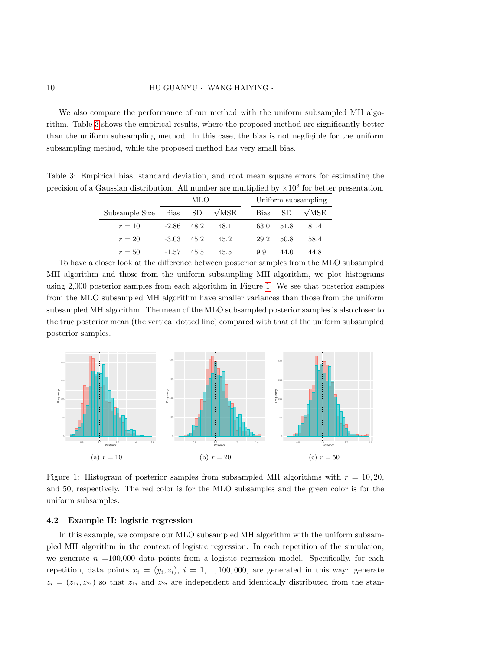We also compare the performance of our method with the uniform subsampled MH algorithm. Table [3](#page-9-0) shows the empirical results, where the proposed method are significantly better than the uniform subsampling method. In this case, the bias is not negligible for the uniform subsampling method, while the proposed method has very small bias.

Table 3: Empirical bias, standard deviation, and root mean square errors for estimating the precision of a Gaussian distribution. All number are multiplied by  $\times 10^3$  for better presentation.

<span id="page-9-0"></span>

|                | MLO     |      |                     |             |      | Uniform subsampling |
|----------------|---------|------|---------------------|-------------|------|---------------------|
| Subsample Size | Bias SD |      | $\sqrt{\text{MSE}}$ | <b>Bias</b> | SD.  | $\sqrt{\text{MSE}}$ |
| $r=10$         | $-2.86$ | 48.2 | 48.1                | 63.0        | 51.8 | 81.4                |
| $r=20$         | -3.03   | 45.2 | 45.2                | 29.2        | 50.8 | 58.4                |
| $r=50$         | $-1.57$ | 45.5 | 45.5                | 9.91        | 44.0 | 44.8                |

To have a closer look at the difference between posterior samples from the MLO subsampled MH algorithm and those from the uniform subsampling MH algorithm, we plot histograms using 2,000 posterior samples from each algorithm in Figure [1.](#page-9-1) We see that posterior samples from the MLO subsampled MH algorithm have smaller variances than those from the uniform subsampled MH algorithm. The mean of the MLO subsampled posterior samples is also closer to the true posterior mean (the vertical dotted line) compared with that of the uniform subsampled posterior samples.



<span id="page-9-1"></span>Figure 1: Histogram of posterior samples from subsampled MH algorithms with  $r = 10, 20$ . and 50, respectively. The red color is for the MLO subsamples and the green color is for the uniform subsamples.

## 4.2 Example II: logistic regression

In this example, we compare our MLO subsampled MH algorithm with the uniform subsampled MH algorithm in the context of logistic regression. In each repetition of the simulation, we generate  $n =100,000$  data points from a logistic regression model. Specifically, for each repetition, data points  $x_i = (y_i, z_i), i = 1, ..., 100, 000$ , are generated in this way: generate  $z_i = (z_{1i}, z_{2i})$  so that  $z_{1i}$  and  $z_{2i}$  are independent and identically distributed from the stan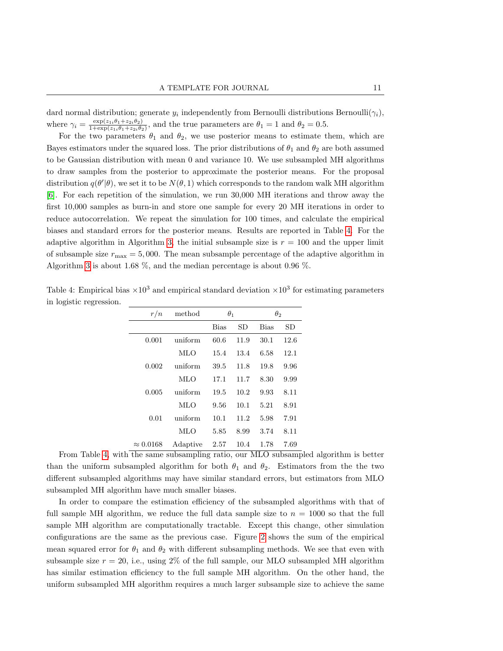dard normal distribution; generate  $y_i$  independently from Bernoulli distributions Bernoulli $(\gamma_i)$ , where  $\gamma_i = \frac{\exp(z_{1i}\theta_1 + z_{2i}\theta_2)}{1+\exp(z_{1i}\theta_1 + z_{2i}\theta_2)}$  $\frac{\exp(z_{1i}\theta_1+z_{2i}\theta_2)}{1+\exp(z_{1i}\theta_1+z_{2i}\theta_2)}$ , and the true parameters are  $\theta_1=1$  and  $\theta_2=0.5$ .

For the two parameters  $\theta_1$  and  $\theta_2$ , we use posterior means to estimate them, which are Bayes estimators under the squared loss. The prior distributions of  $\theta_1$  and  $\theta_2$  are both assumed to be Gaussian distribution with mean 0 and variance 10. We use subsampled MH algorithms to draw samples from the posterior to approximate the posterior means. For the proposal distribution  $q(\theta'|\theta)$ , we set it to be  $N(\theta, 1)$  which corresponds to the random walk MH algorithm [\[6\]](#page-13-9). For each repetition of the simulation, we run 30,000 MH iterations and throw away the first 10,000 samples as burn-in and store one sample for every 20 MH iterations in order to reduce autocorrelation. We repeat the simulation for 100 times, and calculate the empirical biases and standard errors for the posterior means. Results are reported in Table [4.](#page-10-0) For the adaptive algorithm in Algorithm [3,](#page-7-1) the initial subsample size is  $r = 100$  and the upper limit of subsample size  $r_{\text{max}} = 5,000$ . The mean subsample percentage of the adaptive algorithm in Algorithm [3](#page-7-1) is about 1.68 %, and the median percentage is about 0.96 %.

<span id="page-10-0"></span>Table 4: Empirical bias  $\times 10^3$  and empirical standard deviation  $\times 10^3$  for estimating parameters in logistic regression.

| r/n              | method     | $\theta_1$ |      | $\theta_2$  |      |
|------------------|------------|------------|------|-------------|------|
|                  |            | Bias       | SD   | <b>Bias</b> | SD   |
| 0.001            | uniform    | 60.6       | 11.9 | 30.1        | 12.6 |
|                  | <b>MLO</b> | 15.4       | 13.4 | 6.58        | 12.1 |
| 0.002            | uniform    | 39.5       | 11.8 | 19.8        | 9.96 |
|                  | <b>MLO</b> | 17.1       | 11.7 | 8.30        | 9.99 |
| 0.005            | uniform    | 19.5       | 10.2 | 9.93        | 8.11 |
|                  | <b>MLO</b> | 9.56       | 10.1 | 5.21        | 8.91 |
| 0.01             | uniform    | 10.1       | 11.2 | 5.98        | 7.91 |
|                  | MLO        | 5.85       | 8.99 | 3.74        | 8.11 |
| $\approx 0.0168$ | Adaptive   | 2.57       | 10.4 | 1.78        | 7.69 |

From Table [4,](#page-10-0) with the same subsampling ratio, our MLO subsampled algorithm is better than the uniform subsampled algorithm for both  $\theta_1$  and  $\theta_2$ . Estimators from the the two different subsampled algorithms may have similar standard errors, but estimators from MLO subsampled MH algorithm have much smaller biases.

In order to compare the estimation efficiency of the subsampled algorithms with that of full sample MH algorithm, we reduce the full data sample size to  $n = 1000$  so that the full sample MH algorithm are computationally tractable. Except this change, other simulation configurations are the same as the previous case. Figure [2](#page-11-1) shows the sum of the empirical mean squared error for  $\theta_1$  and  $\theta_2$  with different subsampling methods. We see that even with subsample size  $r = 20$ , i.e., using  $2\%$  of the full sample, our MLO subsampled MH algorithm has similar estimation efficiency to the full sample MH algorithm. On the other hand, the uniform subsampled MH algorithm requires a much larger subsample size to achieve the same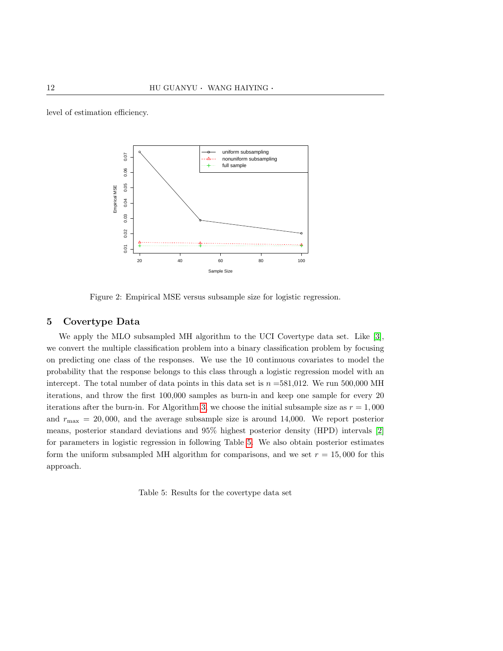level of estimation efficiency.



<span id="page-11-1"></span>Figure 2: Empirical MSE versus subsample size for logistic regression.

# <span id="page-11-0"></span>5 Covertype Data

We apply the MLO subsampled MH algorithm to the UCI Covertype data set. Like [\[3\]](#page-13-10), we convert the multiple classification problem into a binary classification problem by focusing on predicting one class of the responses. We use the 10 continuous covariates to model the probability that the response belongs to this class through a logistic regression model with an intercept. The total number of data points in this data set is  $n = 581,012$ . We run 500,000 MH iterations, and throw the first 100,000 samples as burn-in and keep one sample for every 20 iterations after the burn-in. For Algorithm [3,](#page-7-1) we choose the initial subsample size as  $r = 1,000$ and  $r_{\text{max}} = 20,000$ , and the average subsample size is around 14,000. We report posterior means, posterior standard deviations and 95% highest posterior density (HPD) intervals [\[2\]](#page-13-11) for parameters in logistic regression in following Table [5.](#page-11-2) We also obtain posterior estimates form the uniform subsampled MH algorithm for comparisons, and we set  $r = 15,000$  for this approach.

<span id="page-11-2"></span>Table 5: Results for the covertype data set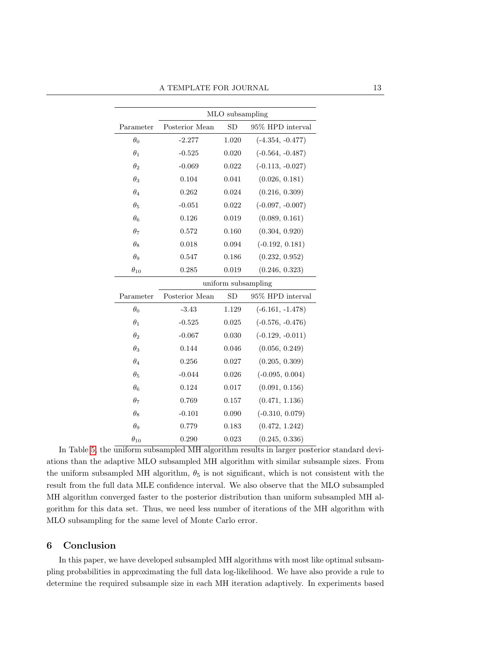|               | MLO subsampling     |       |                    |  |  |  |  |
|---------------|---------------------|-------|--------------------|--|--|--|--|
| Parameter     | Posterior Mean      | SD    | 95% HPD interval   |  |  |  |  |
| $\theta_0$    | $-2.277$            | 1.020 | $(-4.354, -0.477)$ |  |  |  |  |
| $\theta_1$    | $-0.525$            | 0.020 | $(-0.564, -0.487)$ |  |  |  |  |
| $\theta_2$    | $-0.069$            | 0.022 | $(-0.113, -0.027)$ |  |  |  |  |
| $\theta_3$    | 0.104               | 0.041 | (0.026, 0.181)     |  |  |  |  |
| $\theta_4$    | 0.262               | 0.024 | (0.216, 0.309)     |  |  |  |  |
| $\theta_5$    | $-0.051$            | 0.022 | $(-0.097, -0.007)$ |  |  |  |  |
| $\theta_6$    | 0.126               | 0.019 | (0.089, 0.161)     |  |  |  |  |
| $\theta_7$    | 0.572               | 0.160 | (0.304, 0.920)     |  |  |  |  |
| $\theta_8$    | 0.018               | 0.094 | $(-0.192, 0.181)$  |  |  |  |  |
| $\theta_9$    | 0.547               | 0.186 | (0.232, 0.952)     |  |  |  |  |
| $\theta_{10}$ | 0.285               | 0.019 | (0.246, 0.323)     |  |  |  |  |
|               | uniform subsampling |       |                    |  |  |  |  |
| Parameter     | Posterior Mean      | SD    | 95% HPD interval   |  |  |  |  |
| $\theta_0$    | $-3.43$             | 1.129 | $(-6.161, -1.478)$ |  |  |  |  |
| $\theta_1$    | $-0.525$            | 0.025 | $(-0.576, -0.476)$ |  |  |  |  |
| $\theta_2$    | $-0.067$            | 0.030 | $(-0.129, -0.011)$ |  |  |  |  |
| $\theta_3$    | 0.144               | 0.046 | (0.056, 0.249)     |  |  |  |  |
| $\theta_4$    | 0.256               | 0.027 | (0.205, 0.309)     |  |  |  |  |
| $\theta_5$    | $-0.044$            | 0.026 | $(-0.095, 0.004)$  |  |  |  |  |
| $\theta_6$    | 0.124               | 0.017 | (0.091, 0.156)     |  |  |  |  |
| $\theta_7$    | 0.769               | 0.157 | (0.471, 1.136)     |  |  |  |  |
| $\theta_8$    | $-0.101$            | 0.090 | $(-0.310, 0.079)$  |  |  |  |  |
| $\theta_9$    | 0.779               | 0.183 | (0.472, 1.242)     |  |  |  |  |
| $\theta_{10}$ | 0.290               | 0.023 | (0.245, 0.336)     |  |  |  |  |

In Table [5,](#page-11-2) the uniform subsampled MH algorithm results in larger posterior standard deviations than the adaptive MLO subsampled MH algorithm with similar subsample sizes. From the uniform subsampled MH algorithm,  $\theta_5$  is not significant, which is not consistent with the result from the full data MLE confidence interval. We also observe that the MLO subsampled MH algorithm converged faster to the posterior distribution than uniform subsampled MH algorithm for this data set. Thus, we need less number of iterations of the MH algorithm with MLO subsampling for the same level of Monte Carlo error.

# <span id="page-12-0"></span>6 Conclusion

In this paper, we have developed subsampled MH algorithms with most like optimal subsampling probabilities in approximating the full data log-likelihood. We have also provide a rule to determine the required subsample size in each MH iteration adaptively. In experiments based